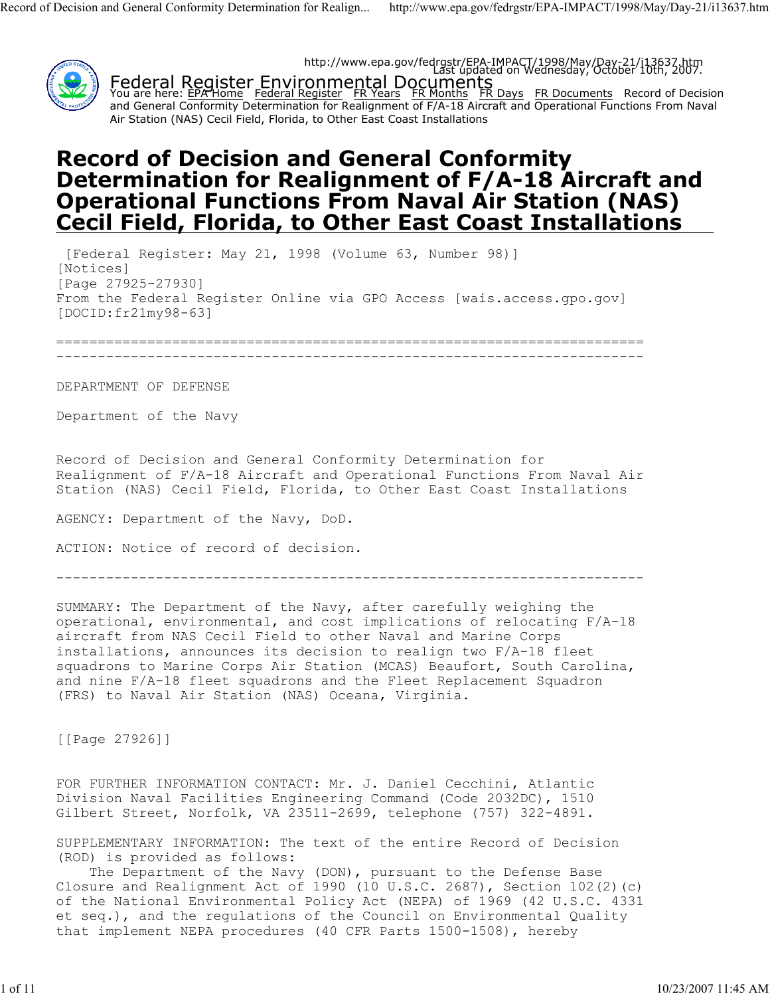

# **Record of Decision and General Conformity Determination for Realignment of F/A-18 Aircraft and Operational Functions From Naval Air Station (NAS) Cecil Field, Florida, to Other East Coast Installations**

[Federal Register: May 21, 1998 (Volume 63, Number 98)] [Notices] [Page 27925-27930] From the Federal Register Online via GPO Access [wais.access.gpo.gov] [DOCID:fr21my98-63]

=======================================================================

-----------------------------------------------------------------------

DEPARTMENT OF DEFENSE

Department of the Navy

Record of Decision and General Conformity Determination for Realignment of F/A-18 Aircraft and Operational Functions From Naval Air Station (NAS) Cecil Field, Florida, to Other East Coast Installations

AGENCY: Department of the Navy, DoD.

ACTION: Notice of record of decision.

-----------------------------------------------------------------------

SUMMARY: The Department of the Navy, after carefully weighing the operational, environmental, and cost implications of relocating F/A-18 aircraft from NAS Cecil Field to other Naval and Marine Corps installations, announces its decision to realign two F/A-18 fleet squadrons to Marine Corps Air Station (MCAS) Beaufort, South Carolina, and nine F/A-18 fleet squadrons and the Fleet Replacement Squadron (FRS) to Naval Air Station (NAS) Oceana, Virginia.

[[Page 27926]]

FOR FURTHER INFORMATION CONTACT: Mr. J. Daniel Cecchini, Atlantic Division Naval Facilities Engineering Command (Code 2032DC), 1510 Gilbert Street, Norfolk, VA 23511-2699, telephone (757) 322-4891.

SUPPLEMENTARY INFORMATION: The text of the entire Record of Decision (ROD) is provided as follows:

The Department of the Navy (DON), pursuant to the Defense Base Closure and Realignment Act of 1990 (10 U.S.C. 2687), Section  $102(2)(c)$ of the National Environmental Policy Act (NEPA) of 1969 (42 U.S.C. 4331 et seq.), and the regulations of the Council on Environmental Quality that implement NEPA procedures (40 CFR Parts 1500-1508), hereby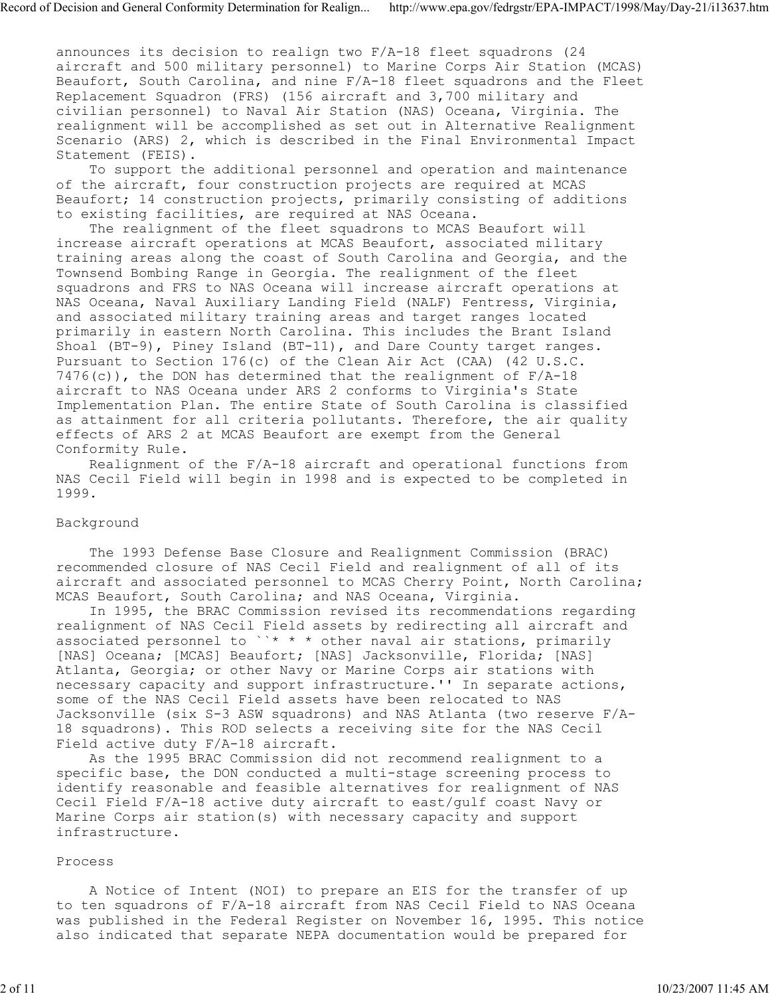announces its decision to realign two F/A-18 fleet squadrons (24 aircraft and 500 military personnel) to Marine Corps Air Station (MCAS) Beaufort, South Carolina, and nine F/A-18 fleet squadrons and the Fleet Replacement Squadron (FRS) (156 aircraft and 3,700 military and civilian personnel) to Naval Air Station (NAS) Oceana, Virginia. The realignment will be accomplished as set out in Alternative Realignment Scenario (ARS) 2, which is described in the Final Environmental Impact Statement (FEIS).

 To support the additional personnel and operation and maintenance of the aircraft, four construction projects are required at MCAS Beaufort; 14 construction projects, primarily consisting of additions to existing facilities, are required at NAS Oceana.

 The realignment of the fleet squadrons to MCAS Beaufort will increase aircraft operations at MCAS Beaufort, associated military training areas along the coast of South Carolina and Georgia, and the Townsend Bombing Range in Georgia. The realignment of the fleet squadrons and FRS to NAS Oceana will increase aircraft operations at NAS Oceana, Naval Auxiliary Landing Field (NALF) Fentress, Virginia, and associated military training areas and target ranges located primarily in eastern North Carolina. This includes the Brant Island Shoal (BT-9), Piney Island (BT-11), and Dare County target ranges. Pursuant to Section 176(c) of the Clean Air Act (CAA) (42 U.S.C.  $7476(c)$ ), the DON has determined that the realignment of  $F/A-18$ aircraft to NAS Oceana under ARS 2 conforms to Virginia's State Implementation Plan. The entire State of South Carolina is classified as attainment for all criteria pollutants. Therefore, the air quality effects of ARS 2 at MCAS Beaufort are exempt from the General Conformity Rule.

 Realignment of the F/A-18 aircraft and operational functions from NAS Cecil Field will begin in 1998 and is expected to be completed in 1999.

#### Background

 The 1993 Defense Base Closure and Realignment Commission (BRAC) recommended closure of NAS Cecil Field and realignment of all of its aircraft and associated personnel to MCAS Cherry Point, North Carolina; MCAS Beaufort, South Carolina; and NAS Oceana, Virginia.

 In 1995, the BRAC Commission revised its recommendations regarding realignment of NAS Cecil Field assets by redirecting all aircraft and associated personnel to ``\* \* \* other naval air stations, primarily [NAS] Oceana; [MCAS] Beaufort; [NAS] Jacksonville, Florida; [NAS] Atlanta, Georgia; or other Navy or Marine Corps air stations with necessary capacity and support infrastructure.'' In separate actions, some of the NAS Cecil Field assets have been relocated to NAS Jacksonville (six S-3 ASW squadrons) and NAS Atlanta (two reserve F/A-18 squadrons). This ROD selects a receiving site for the NAS Cecil Field active duty F/A-18 aircraft.

 As the 1995 BRAC Commission did not recommend realignment to a specific base, the DON conducted a multi-stage screening process to identify reasonable and feasible alternatives for realignment of NAS Cecil Field F/A-18 active duty aircraft to east/gulf coast Navy or Marine Corps air station(s) with necessary capacity and support infrastructure.

### Process

 A Notice of Intent (NOI) to prepare an EIS for the transfer of up to ten squadrons of F/A-18 aircraft from NAS Cecil Field to NAS Oceana was published in the Federal Register on November 16, 1995. This notice also indicated that separate NEPA documentation would be prepared for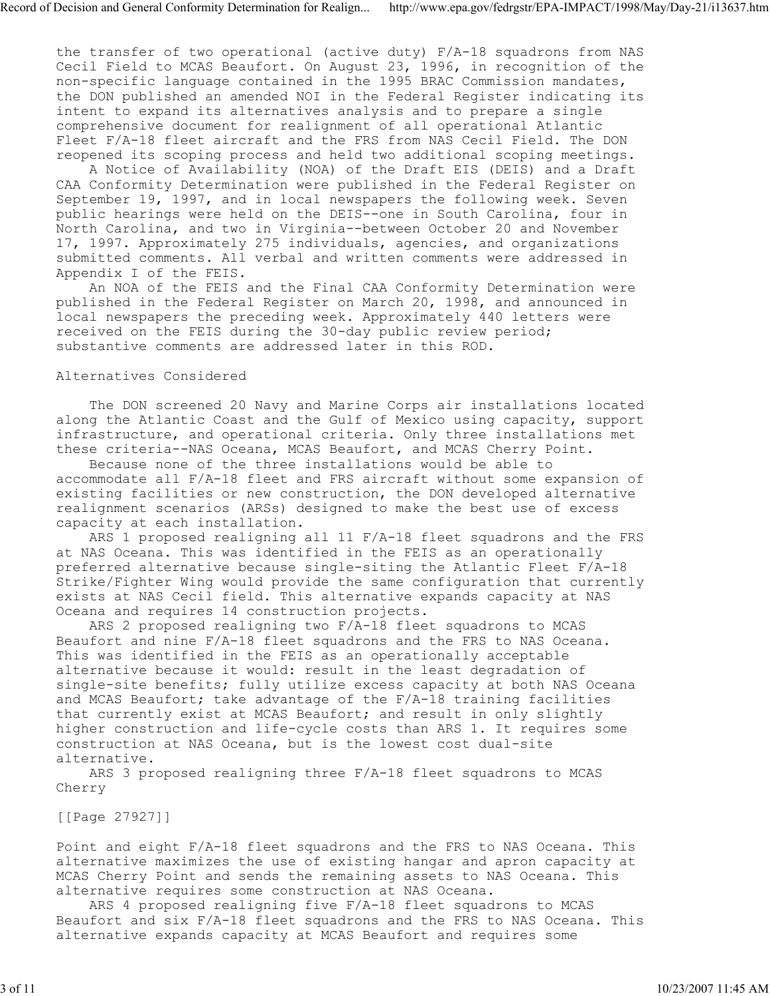the transfer of two operational (active duty) F/A-18 squadrons from NAS Cecil Field to MCAS Beaufort. On August 23, 1996, in recognition of the non-specific language contained in the 1995 BRAC Commission mandates, the DON published an amended NOI in the Federal Register indicating its intent to expand its alternatives analysis and to prepare a single comprehensive document for realignment of all operational Atlantic Fleet F/A-18 fleet aircraft and the FRS from NAS Cecil Field. The DON reopened its scoping process and held two additional scoping meetings.

 A Notice of Availability (NOA) of the Draft EIS (DEIS) and a Draft CAA Conformity Determination were published in the Federal Register on September 19, 1997, and in local newspapers the following week. Seven public hearings were held on the DEIS--one in South Carolina, four in North Carolina, and two in Virginia--between October 20 and November 17, 1997. Approximately 275 individuals, agencies, and organizations submitted comments. All verbal and written comments were addressed in Appendix I of the FEIS.

 An NOA of the FEIS and the Final CAA Conformity Determination were published in the Federal Register on March 20, 1998, and announced in local newspapers the preceding week. Approximately 440 letters were received on the FEIS during the 30-day public review period; substantive comments are addressed later in this ROD.

## Alternatives Considered

 The DON screened 20 Navy and Marine Corps air installations located along the Atlantic Coast and the Gulf of Mexico using capacity, support infrastructure, and operational criteria. Only three installations met these criteria--NAS Oceana, MCAS Beaufort, and MCAS Cherry Point.

 Because none of the three installations would be able to accommodate all F/A-18 fleet and FRS aircraft without some expansion of existing facilities or new construction, the DON developed alternative realignment scenarios (ARSs) designed to make the best use of excess capacity at each installation.

 ARS 1 proposed realigning all 11 F/A-18 fleet squadrons and the FRS at NAS Oceana. This was identified in the FEIS as an operationally preferred alternative because single-siting the Atlantic Fleet F/A-18 Strike/Fighter Wing would provide the same configuration that currently exists at NAS Cecil field. This alternative expands capacity at NAS Oceana and requires 14 construction projects.

 ARS 2 proposed realigning two F/A-18 fleet squadrons to MCAS Beaufort and nine F/A-18 fleet squadrons and the FRS to NAS Oceana. This was identified in the FEIS as an operationally acceptable alternative because it would: result in the least degradation of single-site benefits; fully utilize excess capacity at both NAS Oceana and MCAS Beaufort; take advantage of the F/A-18 training facilities that currently exist at MCAS Beaufort; and result in only slightly higher construction and life-cycle costs than ARS 1. It requires some construction at NAS Oceana, but is the lowest cost dual-site alternative.

 ARS 3 proposed realigning three F/A-18 fleet squadrons to MCAS Cherry

[[Page 27927]]

Point and eight F/A-18 fleet squadrons and the FRS to NAS Oceana. This alternative maximizes the use of existing hangar and apron capacity at MCAS Cherry Point and sends the remaining assets to NAS Oceana. This alternative requires some construction at NAS Oceana.

 ARS 4 proposed realigning five F/A-18 fleet squadrons to MCAS Beaufort and six F/A-18 fleet squadrons and the FRS to NAS Oceana. This alternative expands capacity at MCAS Beaufort and requires some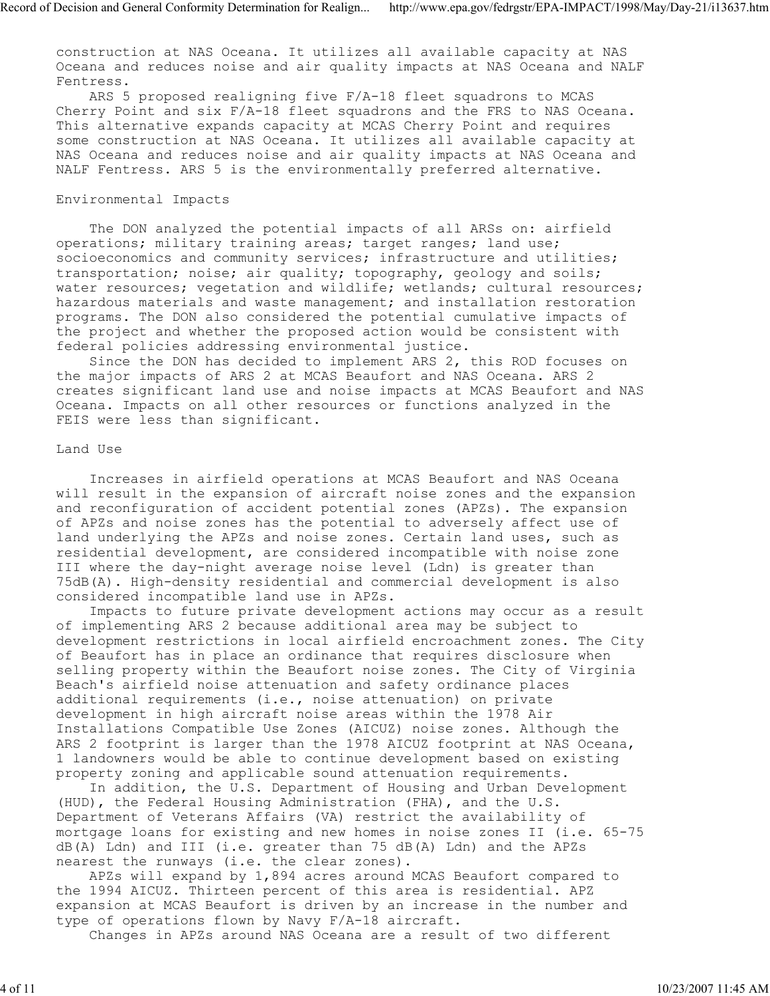construction at NAS Oceana. It utilizes all available capacity at NAS Oceana and reduces noise and air quality impacts at NAS Oceana and NALF Fentress.

 ARS 5 proposed realigning five F/A-18 fleet squadrons to MCAS Cherry Point and six F/A-18 fleet squadrons and the FRS to NAS Oceana. This alternative expands capacity at MCAS Cherry Point and requires some construction at NAS Oceana. It utilizes all available capacity at NAS Oceana and reduces noise and air quality impacts at NAS Oceana and NALF Fentress. ARS 5 is the environmentally preferred alternative.

# Environmental Impacts

 The DON analyzed the potential impacts of all ARSs on: airfield operations; military training areas; target ranges; land use; socioeconomics and community services; infrastructure and utilities; transportation; noise; air quality; topography, geology and soils; water resources; vegetation and wildlife; wetlands; cultural resources; hazardous materials and waste management; and installation restoration programs. The DON also considered the potential cumulative impacts of the project and whether the proposed action would be consistent with federal policies addressing environmental justice.

 Since the DON has decided to implement ARS 2, this ROD focuses on the major impacts of ARS 2 at MCAS Beaufort and NAS Oceana. ARS 2 creates significant land use and noise impacts at MCAS Beaufort and NAS Oceana. Impacts on all other resources or functions analyzed in the FEIS were less than significant.

### Land Use

 Increases in airfield operations at MCAS Beaufort and NAS Oceana will result in the expansion of aircraft noise zones and the expansion and reconfiguration of accident potential zones (APZs). The expansion of APZs and noise zones has the potential to adversely affect use of land underlying the APZs and noise zones. Certain land uses, such as residential development, are considered incompatible with noise zone III where the day-night average noise level (Ldn) is greater than 75dB(A). High-density residential and commercial development is also considered incompatible land use in APZs.

 Impacts to future private development actions may occur as a result of implementing ARS 2 because additional area may be subject to development restrictions in local airfield encroachment zones. The City of Beaufort has in place an ordinance that requires disclosure when selling property within the Beaufort noise zones. The City of Virginia Beach's airfield noise attenuation and safety ordinance places additional requirements (i.e., noise attenuation) on private development in high aircraft noise areas within the 1978 Air Installations Compatible Use Zones (AICUZ) noise zones. Although the ARS 2 footprint is larger than the 1978 AICUZ footprint at NAS Oceana, 1 landowners would be able to continue development based on existing property zoning and applicable sound attenuation requirements.

 In addition, the U.S. Department of Housing and Urban Development (HUD), the Federal Housing Administration (FHA), and the U.S. Department of Veterans Affairs (VA) restrict the availability of mortgage loans for existing and new homes in noise zones II (i.e. 65-75 dB(A) Ldn) and III (i.e. greater than 75 dB(A) Ldn) and the APZs nearest the runways (i.e. the clear zones).

 APZs will expand by 1,894 acres around MCAS Beaufort compared to the 1994 AICUZ. Thirteen percent of this area is residential. APZ expansion at MCAS Beaufort is driven by an increase in the number and type of operations flown by Navy F/A-18 aircraft.

Changes in APZs around NAS Oceana are a result of two different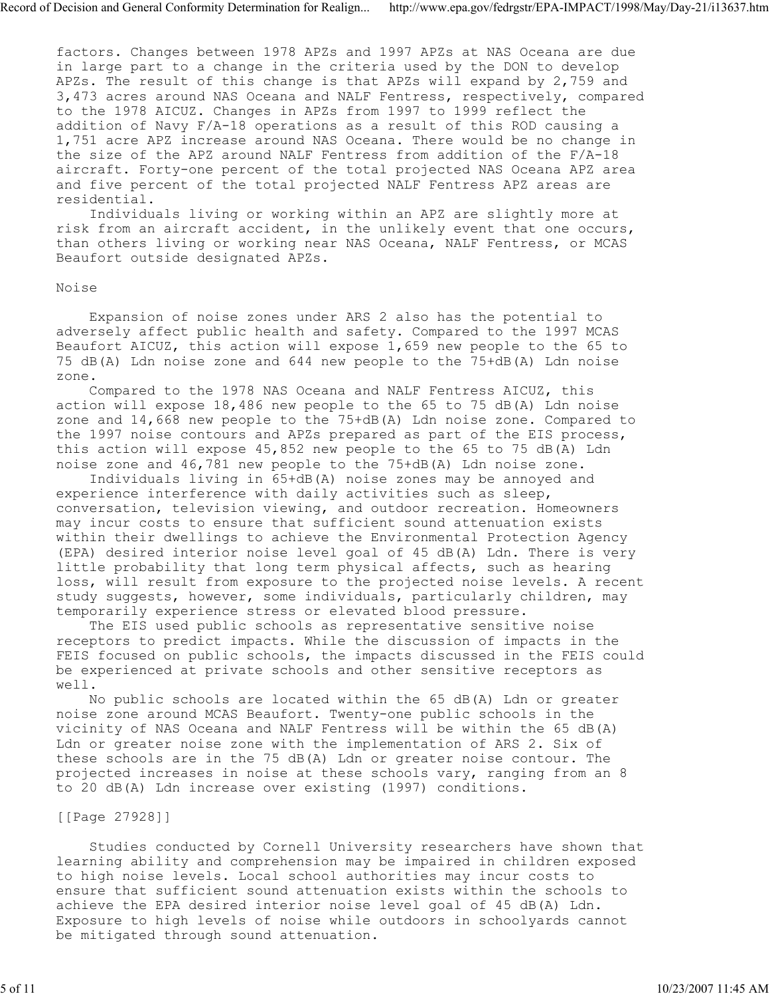factors. Changes between 1978 APZs and 1997 APZs at NAS Oceana are due in large part to a change in the criteria used by the DON to develop APZs. The result of this change is that APZs will expand by 2,759 and 3,473 acres around NAS Oceana and NALF Fentress, respectively, compared to the 1978 AICUZ. Changes in APZs from 1997 to 1999 reflect the addition of Navy F/A-18 operations as a result of this ROD causing a 1,751 acre APZ increase around NAS Oceana. There would be no change in the size of the APZ around NALF Fentress from addition of the F/A-18 aircraft. Forty-one percent of the total projected NAS Oceana APZ area and five percent of the total projected NALF Fentress APZ areas are residential.

 Individuals living or working within an APZ are slightly more at risk from an aircraft accident, in the unlikely event that one occurs, than others living or working near NAS Oceana, NALF Fentress, or MCAS Beaufort outside designated APZs.

### Noise

 Expansion of noise zones under ARS 2 also has the potential to adversely affect public health and safety. Compared to the 1997 MCAS Beaufort AICUZ, this action will expose 1,659 new people to the 65 to 75 dB(A) Ldn noise zone and 644 new people to the 75+dB(A) Ldn noise zone.

 Compared to the 1978 NAS Oceana and NALF Fentress AICUZ, this action will expose  $18,486$  new people to the 65 to 75 dB(A) Ldn noise zone and 14,668 new people to the 75+dB(A) Ldn noise zone. Compared to the 1997 noise contours and APZs prepared as part of the EIS process, this action will expose 45,852 new people to the 65 to 75 dB(A) Ldn noise zone and 46,781 new people to the 75+dB(A) Ldn noise zone.

 Individuals living in 65+dB(A) noise zones may be annoyed and experience interference with daily activities such as sleep, conversation, television viewing, and outdoor recreation. Homeowners may incur costs to ensure that sufficient sound attenuation exists within their dwellings to achieve the Environmental Protection Agency (EPA) desired interior noise level goal of 45 dB(A) Ldn. There is very little probability that long term physical affects, such as hearing loss, will result from exposure to the projected noise levels. A recent study suggests, however, some individuals, particularly children, may temporarily experience stress or elevated blood pressure.

 The EIS used public schools as representative sensitive noise receptors to predict impacts. While the discussion of impacts in the FEIS focused on public schools, the impacts discussed in the FEIS could be experienced at private schools and other sensitive receptors as well.

 No public schools are located within the 65 dB(A) Ldn or greater noise zone around MCAS Beaufort. Twenty-one public schools in the vicinity of NAS Oceana and NALF Fentress will be within the 65 dB(A) Ldn or greater noise zone with the implementation of ARS 2. Six of these schools are in the 75 dB(A) Ldn or greater noise contour. The projected increases in noise at these schools vary, ranging from an 8 to 20 dB(A) Ldn increase over existing (1997) conditions.

### [[Page 27928]]

 Studies conducted by Cornell University researchers have shown that learning ability and comprehension may be impaired in children exposed to high noise levels. Local school authorities may incur costs to ensure that sufficient sound attenuation exists within the schools to achieve the EPA desired interior noise level goal of 45 dB(A) Ldn. Exposure to high levels of noise while outdoors in schoolyards cannot be mitigated through sound attenuation.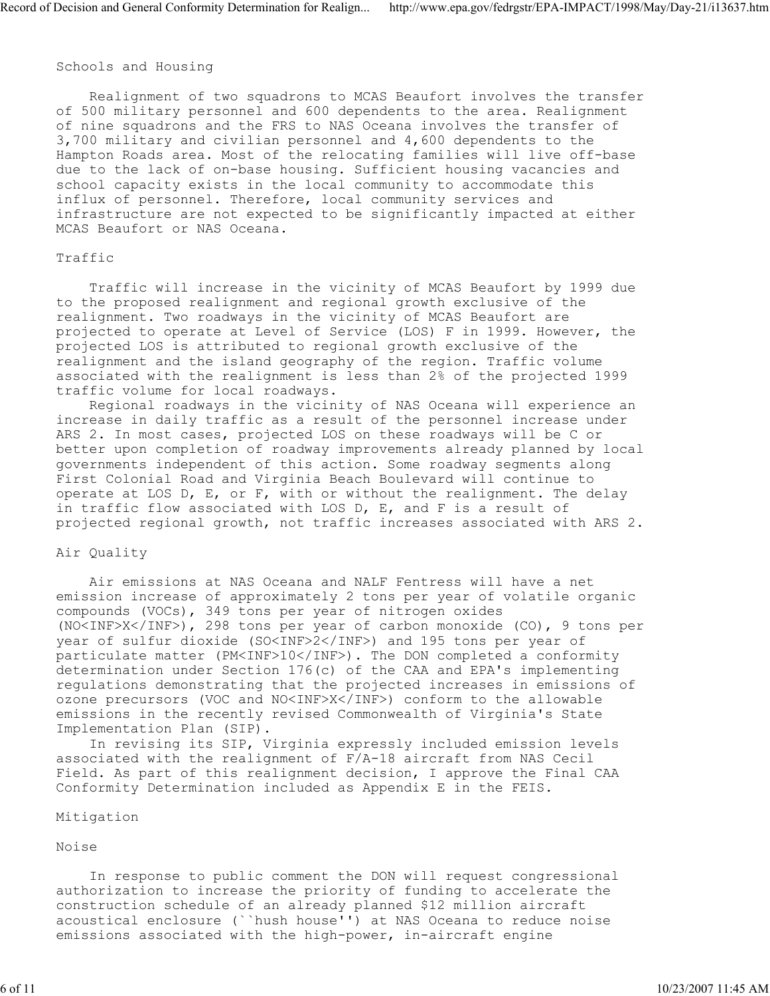### Schools and Housing

 Realignment of two squadrons to MCAS Beaufort involves the transfer of 500 military personnel and 600 dependents to the area. Realignment of nine squadrons and the FRS to NAS Oceana involves the transfer of 3,700 military and civilian personnel and 4,600 dependents to the Hampton Roads area. Most of the relocating families will live off-base due to the lack of on-base housing. Sufficient housing vacancies and school capacity exists in the local community to accommodate this influx of personnel. Therefore, local community services and infrastructure are not expected to be significantly impacted at either MCAS Beaufort or NAS Oceana.

### Traffic

 Traffic will increase in the vicinity of MCAS Beaufort by 1999 due to the proposed realignment and regional growth exclusive of the realignment. Two roadways in the vicinity of MCAS Beaufort are projected to operate at Level of Service (LOS) F in 1999. However, the projected LOS is attributed to regional growth exclusive of the realignment and the island geography of the region. Traffic volume associated with the realignment is less than 2% of the projected 1999 traffic volume for local roadways.

 Regional roadways in the vicinity of NAS Oceana will experience an increase in daily traffic as a result of the personnel increase under ARS 2. In most cases, projected LOS on these roadways will be C or better upon completion of roadway improvements already planned by local governments independent of this action. Some roadway segments along First Colonial Road and Virginia Beach Boulevard will continue to operate at LOS  $D$ ,  $E$ , or  $F$ , with or without the realignment. The delay in traffic flow associated with LOS D, E, and F is a result of projected regional growth, not traffic increases associated with ARS 2.

### Air Quality

 Air emissions at NAS Oceana and NALF Fentress will have a net emission increase of approximately 2 tons per year of volatile organic compounds (VOCs), 349 tons per year of nitrogen oxides (NO<INF>X</INF>), 298 tons per year of carbon monoxide (CO), 9 tons per year of sulfur dioxide (SO<INF>2</INF>) and 195 tons per year of particulate matter (PM<INF>10</INF>). The DON completed a conformity determination under Section 176(c) of the CAA and EPA's implementing regulations demonstrating that the projected increases in emissions of ozone precursors (VOC and NO<INF>X</INF>) conform to the allowable emissions in the recently revised Commonwealth of Virginia's State Implementation Plan (SIP).

 In revising its SIP, Virginia expressly included emission levels associated with the realignment of F/A-18 aircraft from NAS Cecil Field. As part of this realignment decision, I approve the Final CAA Conformity Determination included as Appendix E in the FEIS.

#### Mitigation

Noise

 In response to public comment the DON will request congressional authorization to increase the priority of funding to accelerate the construction schedule of an already planned \$12 million aircraft acoustical enclosure (``hush house'') at NAS Oceana to reduce noise emissions associated with the high-power, in-aircraft engine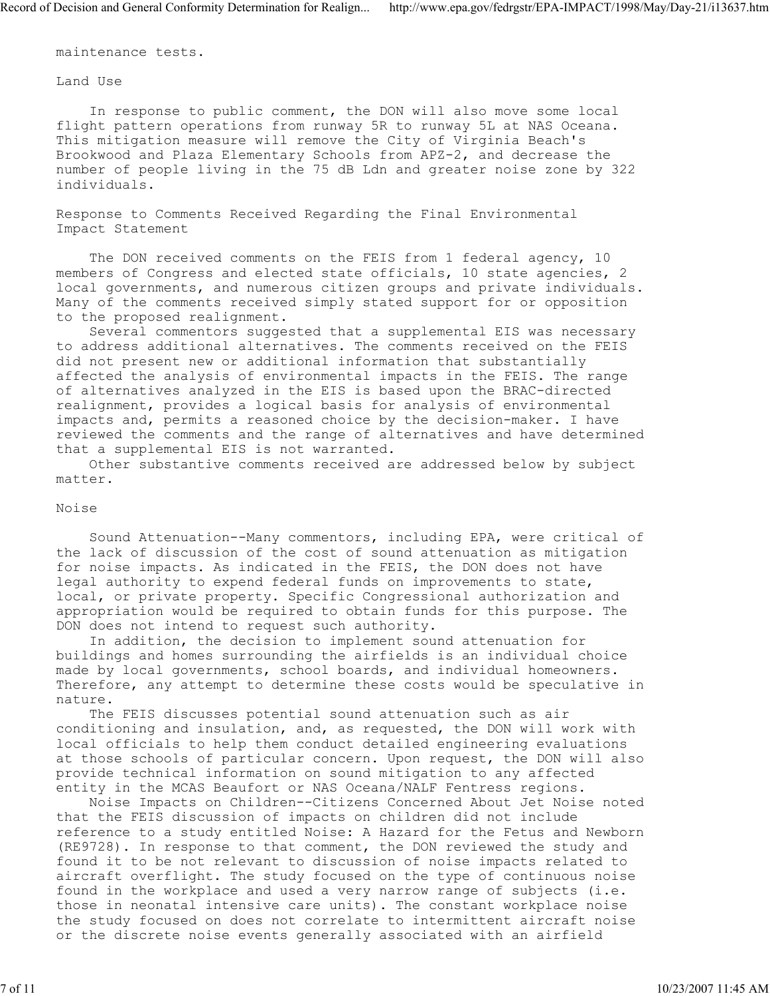maintenance tests.

Land Use

 In response to public comment, the DON will also move some local flight pattern operations from runway 5R to runway 5L at NAS Oceana. This mitigation measure will remove the City of Virginia Beach's Brookwood and Plaza Elementary Schools from APZ-2, and decrease the number of people living in the 75 dB Ldn and greater noise zone by 322 individuals.

Response to Comments Received Regarding the Final Environmental Impact Statement

 The DON received comments on the FEIS from 1 federal agency, 10 members of Congress and elected state officials, 10 state agencies, 2 local governments, and numerous citizen groups and private individuals. Many of the comments received simply stated support for or opposition to the proposed realignment.

 Several commentors suggested that a supplemental EIS was necessary to address additional alternatives. The comments received on the FEIS did not present new or additional information that substantially affected the analysis of environmental impacts in the FEIS. The range of alternatives analyzed in the EIS is based upon the BRAC-directed realignment, provides a logical basis for analysis of environmental impacts and, permits a reasoned choice by the decision-maker. I have reviewed the comments and the range of alternatives and have determined that a supplemental EIS is not warranted.

 Other substantive comments received are addressed below by subject matter.

### Noise

 Sound Attenuation--Many commentors, including EPA, were critical of the lack of discussion of the cost of sound attenuation as mitigation for noise impacts. As indicated in the FEIS, the DON does not have legal authority to expend federal funds on improvements to state, local, or private property. Specific Congressional authorization and appropriation would be required to obtain funds for this purpose. The DON does not intend to request such authority.

 In addition, the decision to implement sound attenuation for buildings and homes surrounding the airfields is an individual choice made by local governments, school boards, and individual homeowners. Therefore, any attempt to determine these costs would be speculative in nature.

 The FEIS discusses potential sound attenuation such as air conditioning and insulation, and, as requested, the DON will work with local officials to help them conduct detailed engineering evaluations at those schools of particular concern. Upon request, the DON will also provide technical information on sound mitigation to any affected entity in the MCAS Beaufort or NAS Oceana/NALF Fentress regions.

 Noise Impacts on Children--Citizens Concerned About Jet Noise noted that the FEIS discussion of impacts on children did not include reference to a study entitled Noise: A Hazard for the Fetus and Newborn (RE9728). In response to that comment, the DON reviewed the study and found it to be not relevant to discussion of noise impacts related to aircraft overflight. The study focused on the type of continuous noise found in the workplace and used a very narrow range of subjects (i.e. those in neonatal intensive care units). The constant workplace noise the study focused on does not correlate to intermittent aircraft noise or the discrete noise events generally associated with an airfield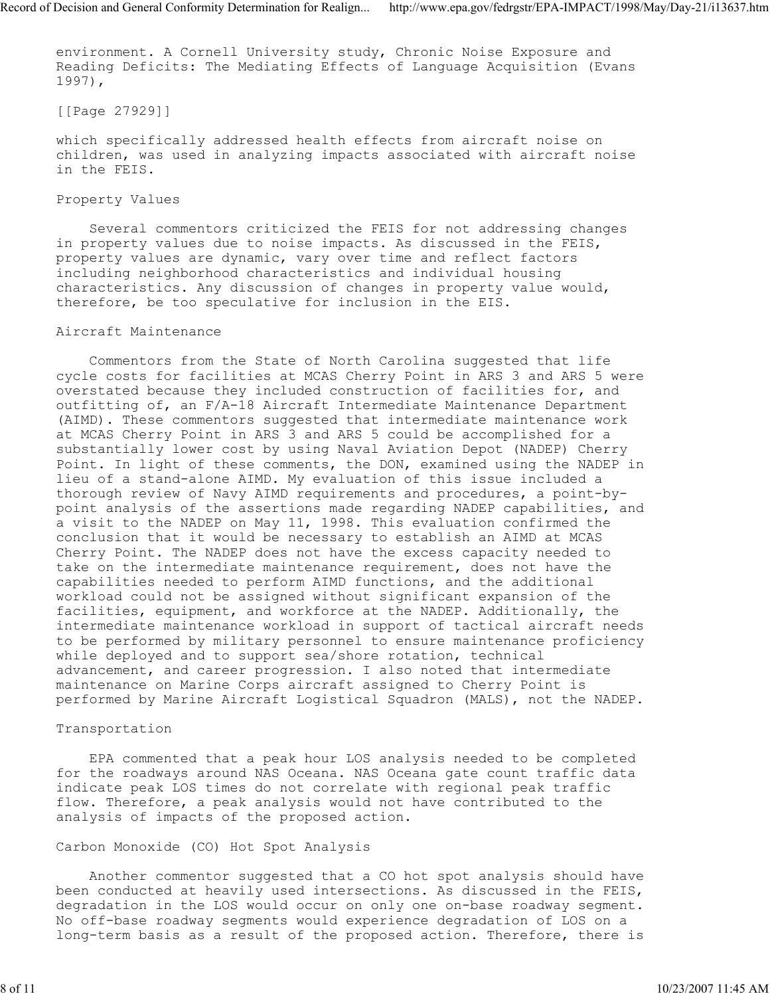environment. A Cornell University study, Chronic Noise Exposure and Reading Deficits: The Mediating Effects of Language Acquisition (Evans 1997),

[[Page 27929]]

which specifically addressed health effects from aircraft noise on children, was used in analyzing impacts associated with aircraft noise in the FEIS.

# Property Values

 Several commentors criticized the FEIS for not addressing changes in property values due to noise impacts. As discussed in the FEIS, property values are dynamic, vary over time and reflect factors including neighborhood characteristics and individual housing characteristics. Any discussion of changes in property value would, therefore, be too speculative for inclusion in the EIS.

# Aircraft Maintenance

 Commentors from the State of North Carolina suggested that life cycle costs for facilities at MCAS Cherry Point in ARS 3 and ARS 5 were overstated because they included construction of facilities for, and outfitting of, an F/A-18 Aircraft Intermediate Maintenance Department (AIMD). These commentors suggested that intermediate maintenance work at MCAS Cherry Point in ARS 3 and ARS 5 could be accomplished for a substantially lower cost by using Naval Aviation Depot (NADEP) Cherry Point. In light of these comments, the DON, examined using the NADEP in lieu of a stand-alone AIMD. My evaluation of this issue included a thorough review of Navy AIMD requirements and procedures, a point-bypoint analysis of the assertions made regarding NADEP capabilities, and a visit to the NADEP on May 11, 1998. This evaluation confirmed the conclusion that it would be necessary to establish an AIMD at MCAS Cherry Point. The NADEP does not have the excess capacity needed to take on the intermediate maintenance requirement, does not have the capabilities needed to perform AIMD functions, and the additional workload could not be assigned without significant expansion of the facilities, equipment, and workforce at the NADEP. Additionally, the intermediate maintenance workload in support of tactical aircraft needs to be performed by military personnel to ensure maintenance proficiency while deployed and to support sea/shore rotation, technical advancement, and career progression. I also noted that intermediate maintenance on Marine Corps aircraft assigned to Cherry Point is performed by Marine Aircraft Logistical Squadron (MALS), not the NADEP.

# Transportation

 EPA commented that a peak hour LOS analysis needed to be completed for the roadways around NAS Oceana. NAS Oceana gate count traffic data indicate peak LOS times do not correlate with regional peak traffic flow. Therefore, a peak analysis would not have contributed to the analysis of impacts of the proposed action.

# Carbon Monoxide (CO) Hot Spot Analysis

 Another commentor suggested that a CO hot spot analysis should have been conducted at heavily used intersections. As discussed in the FEIS, degradation in the LOS would occur on only one on-base roadway segment. No off-base roadway segments would experience degradation of LOS on a long-term basis as a result of the proposed action. Therefore, there is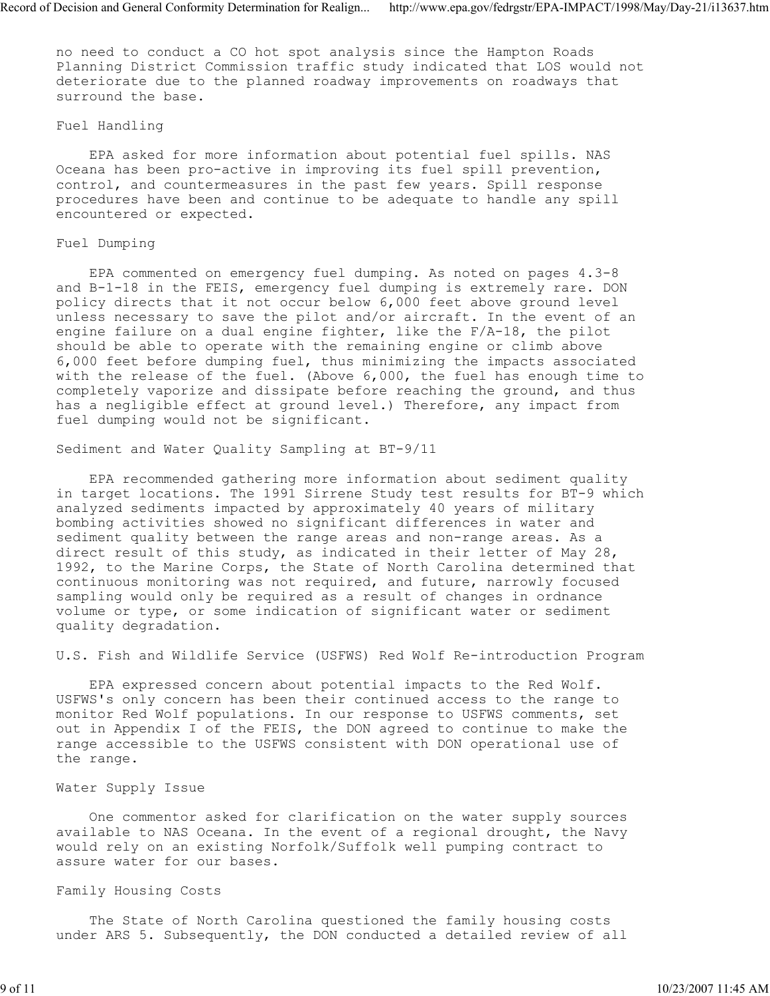no need to conduct a CO hot spot analysis since the Hampton Roads Planning District Commission traffic study indicated that LOS would not deteriorate due to the planned roadway improvements on roadways that surround the base.

### Fuel Handling

 EPA asked for more information about potential fuel spills. NAS Oceana has been pro-active in improving its fuel spill prevention, control, and countermeasures in the past few years. Spill response procedures have been and continue to be adequate to handle any spill encountered or expected.

# Fuel Dumping

 EPA commented on emergency fuel dumping. As noted on pages 4.3-8 and B-1-18 in the FEIS, emergency fuel dumping is extremely rare. DON policy directs that it not occur below 6,000 feet above ground level unless necessary to save the pilot and/or aircraft. In the event of an engine failure on a dual engine fighter, like the F/A-18, the pilot should be able to operate with the remaining engine or climb above 6,000 feet before dumping fuel, thus minimizing the impacts associated with the release of the fuel. (Above 6,000, the fuel has enough time to completely vaporize and dissipate before reaching the ground, and thus has a negligible effect at ground level.) Therefore, any impact from fuel dumping would not be significant.

Sediment and Water Quality Sampling at BT-9/11

 EPA recommended gathering more information about sediment quality in target locations. The 1991 Sirrene Study test results for BT-9 which analyzed sediments impacted by approximately 40 years of military bombing activities showed no significant differences in water and sediment quality between the range areas and non-range areas. As a direct result of this study, as indicated in their letter of May 28, 1992, to the Marine Corps, the State of North Carolina determined that continuous monitoring was not required, and future, narrowly focused sampling would only be required as a result of changes in ordnance volume or type, or some indication of significant water or sediment quality degradation.

U.S. Fish and Wildlife Service (USFWS) Red Wolf Re-introduction Program

 EPA expressed concern about potential impacts to the Red Wolf. USFWS's only concern has been their continued access to the range to monitor Red Wolf populations. In our response to USFWS comments, set out in Appendix I of the FEIS, the DON agreed to continue to make the range accessible to the USFWS consistent with DON operational use of the range.

# Water Supply Issue

 One commentor asked for clarification on the water supply sources available to NAS Oceana. In the event of a regional drought, the Navy would rely on an existing Norfolk/Suffolk well pumping contract to assure water for our bases.

## Family Housing Costs

 The State of North Carolina questioned the family housing costs under ARS 5. Subsequently, the DON conducted a detailed review of all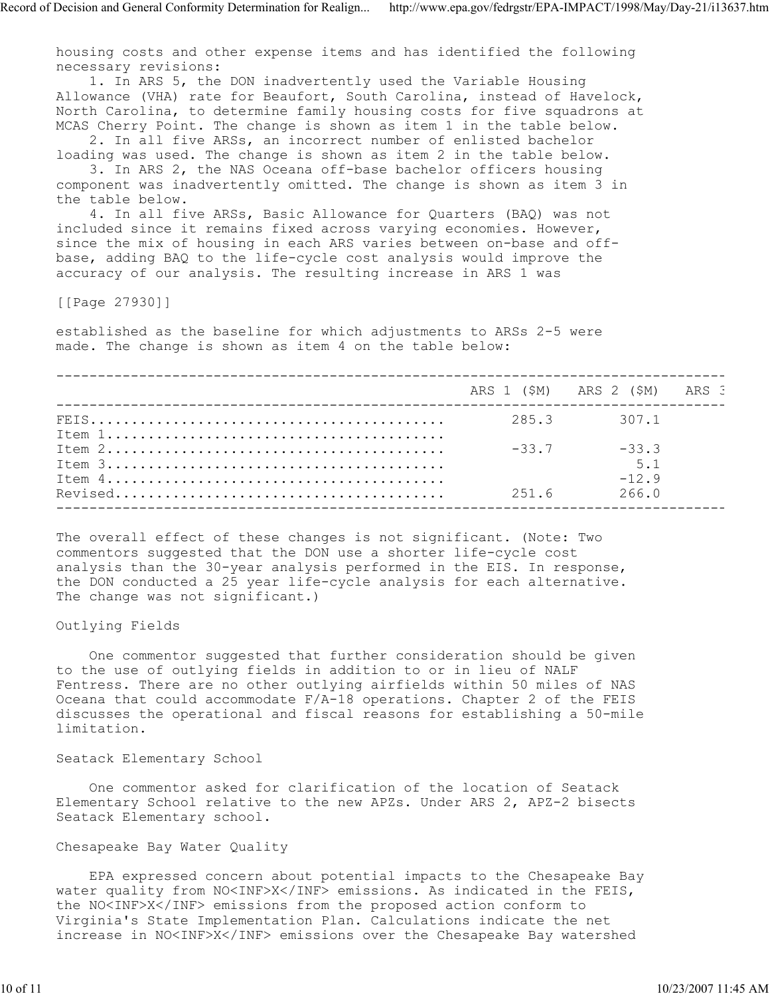housing costs and other expense items and has identified the following necessary revisions:

 1. In ARS 5, the DON inadvertently used the Variable Housing Allowance (VHA) rate for Beaufort, South Carolina, instead of Havelock, North Carolina, to determine family housing costs for five squadrons at MCAS Cherry Point. The change is shown as item 1 in the table below. 2. In all five ARSs, an incorrect number of enlisted bachelor

loading was used. The change is shown as item 2 in the table below.

 3. In ARS 2, the NAS Oceana off-base bachelor officers housing component was inadvertently omitted. The change is shown as item 3 in the table below.

 4. In all five ARSs, Basic Allowance for Quarters (BAQ) was not included since it remains fixed across varying economies. However, since the mix of housing in each ARS varies between on-base and offbase, adding BAQ to the life-cycle cost analysis would improve the accuracy of our analysis. The resulting increase in ARS 1 was

[[Page 27930]]

established as the baseline for which adjustments to ARSs 2-5 were made. The change is shown as item 4 on the table below:

|                                                                                                   |         | ARS 1 (\$M) ARS 2 (\$M) ARS 3 |  |
|---------------------------------------------------------------------------------------------------|---------|-------------------------------|--|
|                                                                                                   |         | 285.3 307.1                   |  |
| Item $2 \ldots \ldots \ldots \ldots \ldots \ldots \ldots \ldots \ldots \ldots \ldots \ldots$      | $-33.7$ | $-33.3$                       |  |
| Item $3$<br>Item $4 \ldots \ldots \ldots \ldots \ldots \ldots \ldots \ldots \ldots \ldots \ldots$ |         | 5.1<br>$-12.9$                |  |
|                                                                                                   | 251.6   | 266.0                         |  |

The overall effect of these changes is not significant. (Note: Two commentors suggested that the DON use a shorter life-cycle cost analysis than the 30-year analysis performed in the EIS. In response, the DON conducted a 25 year life-cycle analysis for each alternative. The change was not significant.)

#### Outlying Fields

 One commentor suggested that further consideration should be given to the use of outlying fields in addition to or in lieu of NALF Fentress. There are no other outlying airfields within 50 miles of NAS Oceana that could accommodate F/A-18 operations. Chapter 2 of the FEIS discusses the operational and fiscal reasons for establishing a 50-mile limitation.

### Seatack Elementary School

 One commentor asked for clarification of the location of Seatack Elementary School relative to the new APZs. Under ARS 2, APZ-2 bisects Seatack Elementary school.

### Chesapeake Bay Water Quality

 EPA expressed concern about potential impacts to the Chesapeake Bay water quality from NO<INF>X</INF> emissions. As indicated in the FEIS, the NO<INF>X</INF> emissions from the proposed action conform to Virginia's State Implementation Plan. Calculations indicate the net increase in NO<INF>X</INF> emissions over the Chesapeake Bay watershed